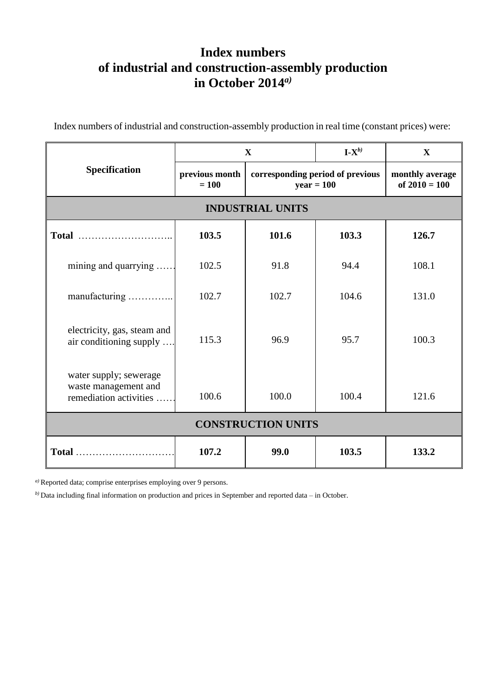## **Index numbers of industrial and construction-assembly production in October 2014** *a)*

Index numbers of industrial and construction-assembly production in real time (constant prices) were:

| Specification                                                            | X                         |                                                  | $\mathbf{I} \cdot \mathbf{X}^{b}$ | $\mathbf X$                        |
|--------------------------------------------------------------------------|---------------------------|--------------------------------------------------|-----------------------------------|------------------------------------|
|                                                                          | previous month<br>$= 100$ | corresponding period of previous<br>$year = 100$ |                                   | monthly average<br>of $2010 = 100$ |
| <b>INDUSTRIAL UNITS</b>                                                  |                           |                                                  |                                   |                                    |
|                                                                          | 103.5                     | 101.6                                            | 103.3                             | 126.7                              |
| mining and quarrying                                                     | 102.5                     | 91.8                                             | 94.4                              | 108.1                              |
| manufacturing                                                            | 102.7                     | 102.7                                            | 104.6                             | 131.0                              |
| electricity, gas, steam and<br>air conditioning supply                   | 115.3                     | 96.9                                             | 95.7                              | 100.3                              |
| water supply; sewerage<br>waste management and<br>remediation activities | 100.6                     | 100.0                                            | 100.4                             | 121.6                              |
| <b>CONSTRUCTION UNITS</b>                                                |                           |                                                  |                                   |                                    |
| Total                                                                    | 107.2                     | 99.0                                             | 103.5                             | 133.2                              |

*a)* Reported data; comprise enterprises employing over 9 persons.

*b)* Data including final information on production and prices in September and reported data – in October.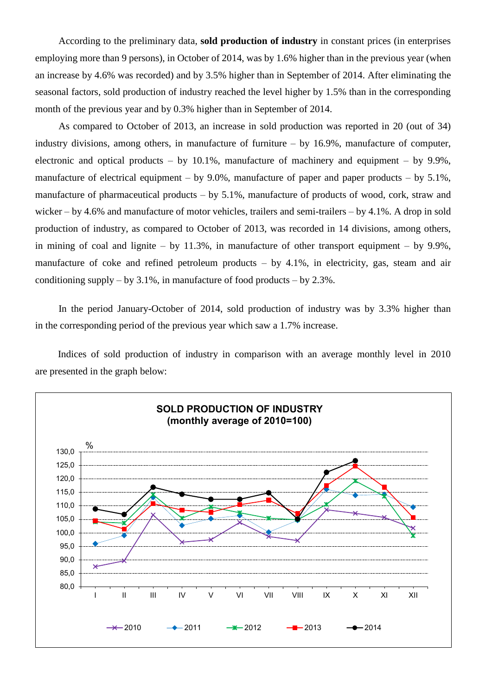According to the preliminary data, **sold production of industry** in constant prices (in enterprises employing more than 9 persons), in October of 2014, was by 1.6% higher than in the previous year (when an increase by 4.6% was recorded) and by 3.5% higher than in September of 2014. After eliminating the seasonal factors, sold production of industry reached the level higher by 1.5% than in the corresponding month of the previous year and by 0.3% higher than in September of 2014.

As compared to October of 2013, an increase in sold production was reported in 20 (out of 34) industry divisions, among others, in manufacture of furniture – by 16.9%, manufacture of computer, electronic and optical products – by  $10.1\%$ , manufacture of machinery and equipment – by 9.9%, manufacture of electrical equipment – by 9.0%, manufacture of paper and paper products – by 5.1%, manufacture of pharmaceutical products – by 5.1%, manufacture of products of wood, cork, straw and wicker – by 4.6% and manufacture of motor vehicles, trailers and semi-trailers – by 4.1%. A drop in sold production of industry, as compared to October of 2013, was recorded in 14 divisions, among others, in mining of coal and lignite – by  $11.3\%$ , in manufacture of other transport equipment – by 9.9%, manufacture of coke and refined petroleum products – by 4.1%, in electricity, gas, steam and air conditioning supply – by  $3.1\%$ , in manufacture of food products – by  $2.3\%$ .

In the period January-October of 2014, sold production of industry was by 3.3% higher than in the corresponding period of the previous year which saw a 1.7% increase.

Indices of sold production of industry in comparison with an average monthly level in 2010 are presented in the graph below: